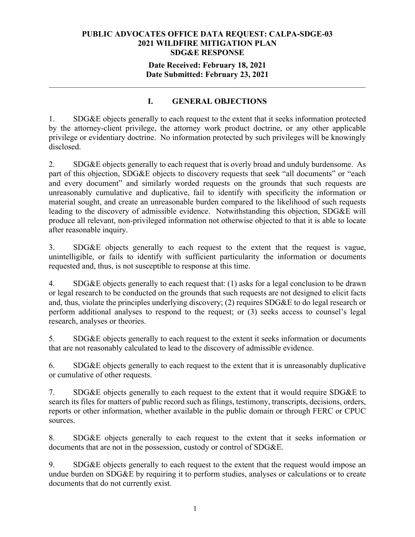## **Date Received: February 18, 2021 Date Submitted: February 23, 2021**

**\_\_\_\_\_\_\_\_\_\_\_\_\_\_\_\_\_\_\_\_\_\_\_\_\_\_\_\_\_\_\_\_\_\_\_\_\_\_\_\_\_\_\_\_\_\_\_\_\_\_\_\_\_\_\_\_\_\_\_\_\_\_\_\_\_\_\_\_\_\_** 

# **I. GENERAL OBJECTIONS**

1. SDG&E objects generally to each request to the extent that it seeks information protected by the attorney-client privilege, the attorney work product doctrine, or any other applicable privilege or evidentiary doctrine. No information protected by such privileges will be knowingly disclosed.

2. SDG&E objects generally to each request that is overly broad and unduly burdensome. As part of this objection, SDG&E objects to discovery requests that seek "all documents" or "each and every document" and similarly worded requests on the grounds that such requests are unreasonably cumulative and duplicative, fail to identify with specificity the information or material sought, and create an unreasonable burden compared to the likelihood of such requests leading to the discovery of admissible evidence. Notwithstanding this objection, SDG&E will produce all relevant, non-privileged information not otherwise objected to that it is able to locate after reasonable inquiry.

3. SDG&E objects generally to each request to the extent that the request is vague, unintelligible, or fails to identify with sufficient particularity the information or documents requested and, thus, is not susceptible to response at this time.

4. SDG&E objects generally to each request that: (1) asks for a legal conclusion to be drawn or legal research to be conducted on the grounds that such requests are not designed to elicit facts and, thus, violate the principles underlying discovery; (2) requires SDG&E to do legal research or perform additional analyses to respond to the request; or (3) seeks access to counsel's legal research, analyses or theories.

5. SDG&E objects generally to each request to the extent it seeks information or documents that are not reasonably calculated to lead to the discovery of admissible evidence.

6. SDG&E objects generally to each request to the extent that it is unreasonably duplicative or cumulative of other requests.

7. SDG&E objects generally to each request to the extent that it would require SDG&E to search its files for matters of public record such as filings, testimony, transcripts, decisions, orders, reports or other information, whether available in the public domain or through FERC or CPUC sources.

8. SDG&E objects generally to each request to the extent that it seeks information or documents that are not in the possession, custody or control of SDG&E.

9. SDG&E objects generally to each request to the extent that the request would impose an undue burden on SDG&E by requiring it to perform studies, analyses or calculations or to create documents that do not currently exist.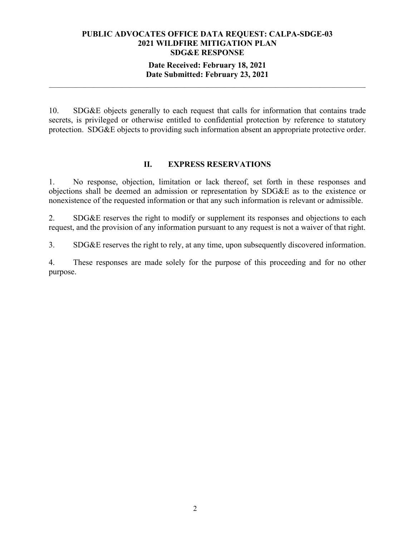## **Date Received: February 18, 2021 Date Submitted: February 23, 2021**

**\_\_\_\_\_\_\_\_\_\_\_\_\_\_\_\_\_\_\_\_\_\_\_\_\_\_\_\_\_\_\_\_\_\_\_\_\_\_\_\_\_\_\_\_\_\_\_\_\_\_\_\_\_\_\_\_\_\_\_\_\_\_\_\_\_\_\_\_\_\_** 

10. SDG&E objects generally to each request that calls for information that contains trade secrets, is privileged or otherwise entitled to confidential protection by reference to statutory protection. SDG&E objects to providing such information absent an appropriate protective order.

## **II. EXPRESS RESERVATIONS**

1. No response, objection, limitation or lack thereof, set forth in these responses and objections shall be deemed an admission or representation by SDG&E as to the existence or nonexistence of the requested information or that any such information is relevant or admissible.

2. SDG&E reserves the right to modify or supplement its responses and objections to each request, and the provision of any information pursuant to any request is not a waiver of that right.

3. SDG&E reserves the right to rely, at any time, upon subsequently discovered information.

4. These responses are made solely for the purpose of this proceeding and for no other purpose.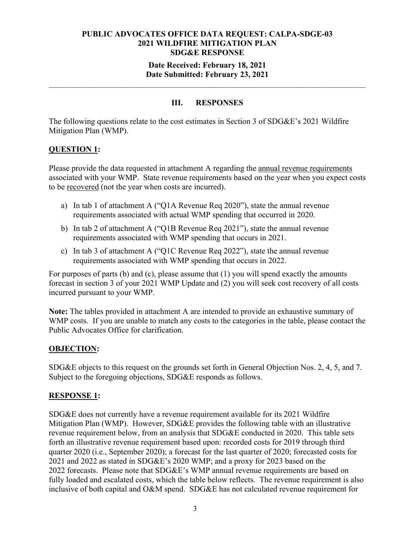## **Date Received: February 18, 2021 Date Submitted: February 23, 2021**

**\_\_\_\_\_\_\_\_\_\_\_\_\_\_\_\_\_\_\_\_\_\_\_\_\_\_\_\_\_\_\_\_\_\_\_\_\_\_\_\_\_\_\_\_\_\_\_\_\_\_\_\_\_\_\_\_\_\_\_\_\_\_\_\_\_\_\_\_\_\_** 

# **III. RESPONSES**

The following questions relate to the cost estimates in Section 3 of SDG&E's 2021 Wildfire Mitigation Plan (WMP).

# **QUESTION 1:**

Please provide the data requested in attachment A regarding the annual revenue requirements associated with your WMP. State revenue requirements based on the year when you expect costs to be recovered (not the year when costs are incurred).

- a) In tab 1 of attachment A ("Q1A Revenue Req 2020"), state the annual revenue requirements associated with actual WMP spending that occurred in 2020.
- b) In tab 2 of attachment A ("Q1B Revenue Req 2021"), state the annual revenue requirements associated with WMP spending that occurs in 2021.
- c) In tab 3 of attachment A ("Q1C Revenue Req 2022"), state the annual revenue requirements associated with WMP spending that occurs in 2022.

For purposes of parts (b) and (c), please assume that (1) you will spend exactly the amounts forecast in section 3 of your 2021 WMP Update and (2) you will seek cost recovery of all costs incurred pursuant to your WMP.

**Note:** The tables provided in attachment A are intended to provide an exhaustive summary of WMP costs. If you are unable to match any costs to the categories in the table, please contact the Public Advocates Office for clarification.

# **OBJECTION:**

SDG&E objects to this request on the grounds set forth in General Objection Nos. 2, 4, 5, and 7. Subject to the foregoing objections, SDG&E responds as follows.

### **RESPONSE 1:**

SDG&E does not currently have a revenue requirement available for its 2021 Wildfire Mitigation Plan (WMP). However, SDG&E provides the following table with an illustrative revenue requirement below, from an analysis that SDG&E conducted in 2020. This table sets forth an illustrative revenue requirement based upon: recorded costs for 2019 through third quarter 2020 (i.e., September 2020); a forecast for the last quarter of 2020; forecasted costs for 2021 and 2022 as stated in SDG&E's 2020 WMP; and a proxy for 2023 based on the 2022 forecasts. Please note that SDG&E's WMP annual revenue requirements are based on fully loaded and escalated costs, which the table below reflects. The revenue requirement is also inclusive of both capital and O&M spend. SDG&E has not calculated revenue requirement for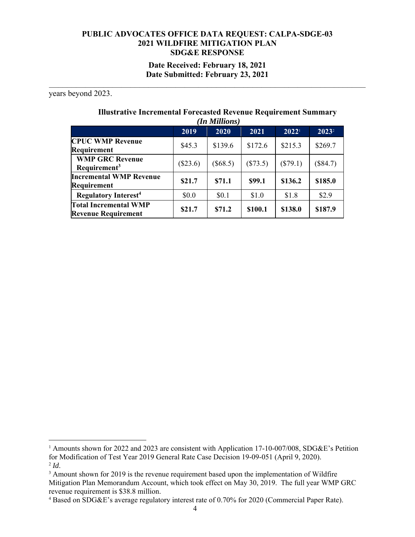**Date Received: February 18, 2021 Date Submitted: February 23, 2021**

**\_\_\_\_\_\_\_\_\_\_\_\_\_\_\_\_\_\_\_\_\_\_\_\_\_\_\_\_\_\_\_\_\_\_\_\_\_\_\_\_\_\_\_\_\_\_\_\_\_\_\_\_\_\_\_\_\_\_\_\_\_\_\_\_\_\_\_\_\_\_** 

years beyond 2023.

# **Illustrative Incremental Forecasted Revenue Requirement Summary**

| (In Millions)                                              |            |          |          |                   |                   |
|------------------------------------------------------------|------------|----------|----------|-------------------|-------------------|
|                                                            | 2019       | 2020     | 2021     | 2022 <sup>1</sup> | 2023 <sup>2</sup> |
| <b>CPUC WMP Revenue</b><br>Requirement                     | \$45.3     | \$139.6  | \$172.6  | \$215.3           | \$269.7           |
| <b>WMP GRC Revenue</b><br>Requirement <sup>3</sup>         | $(\$23.6)$ | (\$68.5) | (\$73.5) | $(\$79.1)$        | $(\$84.7)$        |
| <b>Incremental WMP Revenue</b><br>Requirement              | \$21.7     | \$71.1   | \$99.1   | \$136.2           | \$185.0           |
| <b>Regulatory Interest<sup>4</sup></b>                     | \$0.0      | \$0.1    | \$1.0    | \$1.8             | \$2.9             |
| <b>Total Incremental WMP</b><br><b>Revenue Requirement</b> | \$21.7     | \$71.2   | \$100.1  | \$138.0           | \$187.9           |

<sup>&</sup>lt;sup>1</sup> Amounts shown for 2022 and 2023 are consistent with Application 17-10-007/008, SDG&E's Petition for Modification of Test Year 2019 General Rate Case Decision 19-09-051 (April 9, 2020).  $^{2}$ *Id*.

 $3$  Amount shown for 2019 is the revenue requirement based upon the implementation of Wildfire Mitigation Plan Memorandum Account, which took effect on May 30, 2019. The full year WMP GRC revenue requirement is \$38.8 million. 4 Based on SDG&E's average regulatory interest rate of 0.70% for 2020 (Commercial Paper Rate).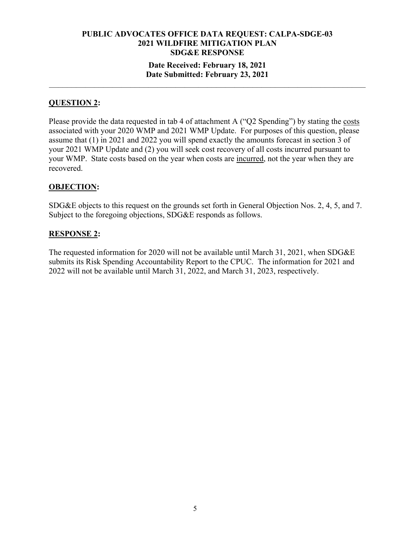## **Date Received: February 18, 2021 Date Submitted: February 23, 2021**

**\_\_\_\_\_\_\_\_\_\_\_\_\_\_\_\_\_\_\_\_\_\_\_\_\_\_\_\_\_\_\_\_\_\_\_\_\_\_\_\_\_\_\_\_\_\_\_\_\_\_\_\_\_\_\_\_\_\_\_\_\_\_\_\_\_\_\_\_\_\_** 

# **QUESTION 2:**

Please provide the data requested in tab 4 of attachment A ("Q2 Spending") by stating the costs associated with your 2020 WMP and 2021 WMP Update. For purposes of this question, please assume that (1) in 2021 and 2022 you will spend exactly the amounts forecast in section 3 of your 2021 WMP Update and (2) you will seek cost recovery of all costs incurred pursuant to your WMP. State costs based on the year when costs are incurred, not the year when they are recovered.

## **OBJECTION:**

SDG&E objects to this request on the grounds set forth in General Objection Nos. 2, 4, 5, and 7. Subject to the foregoing objections, SDG&E responds as follows.

## **RESPONSE 2:**

The requested information for 2020 will not be available until March 31, 2021, when SDG&E submits its Risk Spending Accountability Report to the CPUC. The information for 2021 and 2022 will not be available until March 31, 2022, and March 31, 2023, respectively.